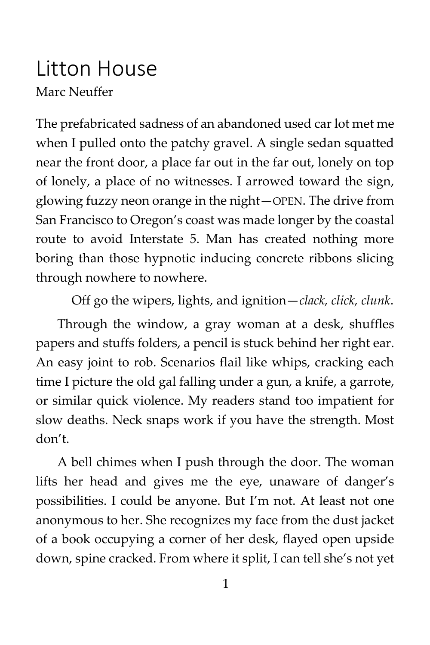## Litton House Marc Neuffer

The prefabricated sadness of an abandoned used car lot met me when I pulled onto the patchy gravel. A single sedan squatted near the front door, a place far out in the far out, lonely on top of lonely, a place of no witnesses. I arrowed toward the sign, glowing fuzzy neon orange in the night—OPEN. The drive from San Francisco to Oregon's coast was made longer by the coastal route to avoid Interstate 5. Man has created nothing more boring than those hypnotic inducing concrete ribbons slicing through nowhere to nowhere.

Off go the wipers, lights, and ignition—*clack, click, clunk*.

Through the window, a gray woman at a desk, shuffles papers and stuffs folders, a pencil is stuck behind her right ear. An easy joint to rob. Scenarios flail like whips, cracking each time I picture the old gal falling under a gun, a knife, a garrote, or similar quick violence. My readers stand too impatient for slow deaths. Neck snaps work if you have the strength. Most don't.

A bell chimes when I push through the door. The woman lifts her head and gives me the eye, unaware of danger's possibilities. I could be anyone. But I'm not. At least not one anonymous to her. She recognizes my face from the dust jacket of a book occupying a corner of her desk, flayed open upside down, spine cracked. From where it split, I can tell she's not yet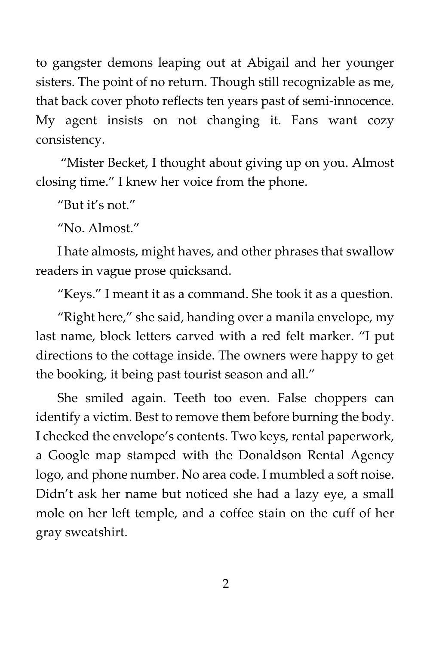to gangster demons leaping out at Abigail and her younger sisters. The point of no return. Though still recognizable as me, that back cover photo reflects ten years past of semi-innocence. My agent insists on not changing it. Fans want cozy consistency.

"Mister Becket, I thought about giving up on you. Almost closing time." I knew her voice from the phone.

"But it's not."

"No. Almost."

I hate almosts, might haves, and other phrases that swallow readers in vague prose quicksand.

"Keys." I meant it as a command. She took it as a question.

"Right here," she said, handing over a manila envelope, my last name, block letters carved with a red felt marker. "I put directions to the cottage inside. The owners were happy to get the booking, it being past tourist season and all."

She smiled again. Teeth too even. False choppers can identify a victim. Best to remove them before burning the body. I checked the envelope's contents. Two keys, rental paperwork, a Google map stamped with the Donaldson Rental Agency logo, and phone number. No area code. I mumbled a soft noise. Didn't ask her name but noticed she had a lazy eye, a small mole on her left temple, and a coffee stain on the cuff of her gray sweatshirt.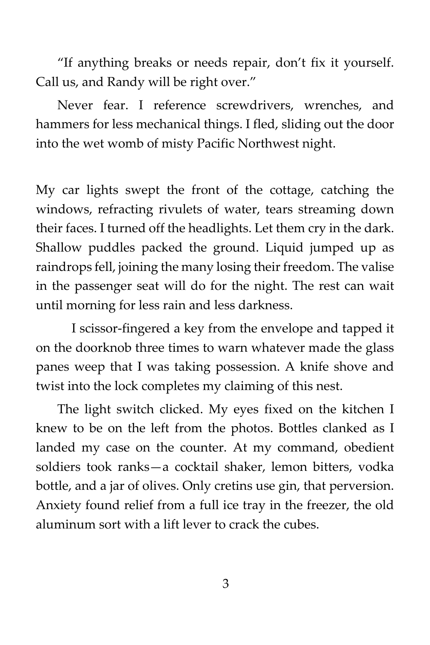"If anything breaks or needs repair, don't fix it yourself. Call us, and Randy will be right over."

Never fear. I reference screwdrivers, wrenches, and hammers for less mechanical things. I fled, sliding out the door into the wet womb of misty Pacific Northwest night.

My car lights swept the front of the cottage, catching the windows, refracting rivulets of water, tears streaming down their faces. I turned off the headlights. Let them cry in the dark. Shallow puddles packed the ground. Liquid jumped up as raindrops fell, joining the many losing their freedom. The valise in the passenger seat will do for the night. The rest can wait until morning for less rain and less darkness.

I scissor-fingered a key from the envelope and tapped it on the doorknob three times to warn whatever made the glass panes weep that I was taking possession. A knife shove and twist into the lock completes my claiming of this nest.

The light switch clicked. My eyes fixed on the kitchen I knew to be on the left from the photos. Bottles clanked as I landed my case on the counter. At my command, obedient soldiers took ranks—a cocktail shaker, lemon bitters, vodka bottle, and a jar of olives. Only cretins use gin, that perversion. Anxiety found relief from a full ice tray in the freezer, the old aluminum sort with a lift lever to crack the cubes.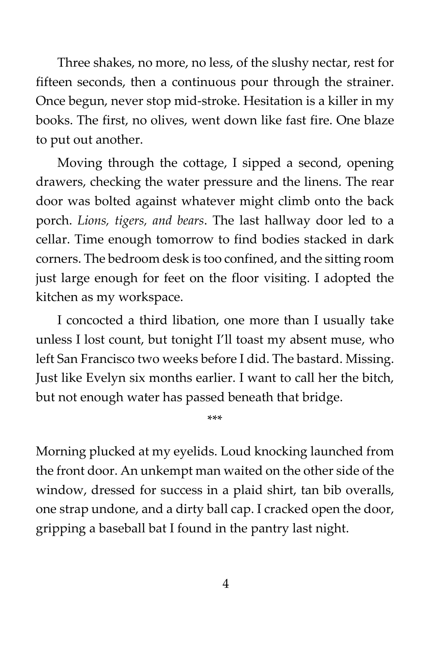Three shakes, no more, no less, of the slushy nectar, rest for fifteen seconds, then a continuous pour through the strainer. Once begun, never stop mid-stroke. Hesitation is a killer in my books. The first, no olives, went down like fast fire. One blaze to put out another.

Moving through the cottage, I sipped a second, opening drawers, checking the water pressure and the linens. The rear door was bolted against whatever might climb onto the back porch. *Lions, tigers, and bears*. The last hallway door led to a cellar. Time enough tomorrow to find bodies stacked in dark corners. The bedroom desk is too confined, and the sitting room just large enough for feet on the floor visiting. I adopted the kitchen as my workspace.

I concocted a third libation, one more than I usually take unless I lost count, but tonight I'll toast my absent muse, who left San Francisco two weeks before I did. The bastard. Missing. Just like Evelyn six months earlier. I want to call her the bitch, but not enough water has passed beneath that bridge.

\*\*\*

Morning plucked at my eyelids. Loud knocking launched from the front door. An unkempt man waited on the other side of the window, dressed for success in a plaid shirt, tan bib overalls, one strap undone, and a dirty ball cap. I cracked open the door, gripping a baseball bat I found in the pantry last night.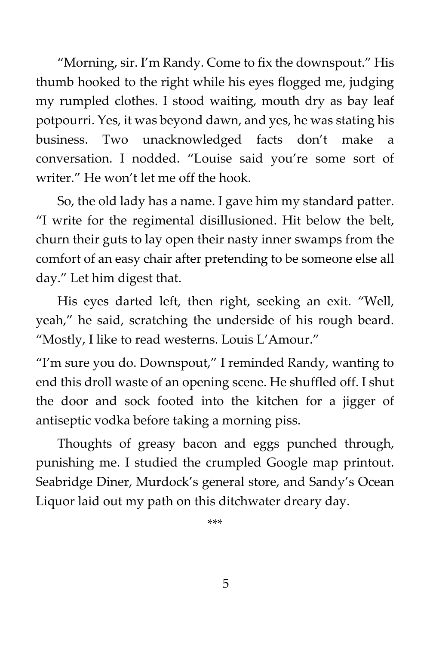"Morning, sir. I'm Randy. Come to fix the downspout." His thumb hooked to the right while his eyes flogged me, judging my rumpled clothes. I stood waiting, mouth dry as bay leaf potpourri. Yes, it was beyond dawn, and yes, he was stating his business. Two unacknowledged facts don't make a conversation. I nodded. "Louise said you're some sort of writer." He won't let me off the hook.

So, the old lady has a name. I gave him my standard patter. "I write for the regimental disillusioned. Hit below the belt, churn their guts to lay open their nasty inner swamps from the comfort of an easy chair after pretending to be someone else all day." Let him digest that.

His eyes darted left, then right, seeking an exit. "Well, yeah," he said, scratching the underside of his rough beard. "Mostly, I like to read westerns. Louis L'Amour."

"I'm sure you do. Downspout," I reminded Randy, wanting to end this droll waste of an opening scene. He shuffled off. I shut the door and sock footed into the kitchen for a jigger of antiseptic vodka before taking a morning piss.

Thoughts of greasy bacon and eggs punched through, punishing me. I studied the crumpled Google map printout. Seabridge Diner, Murdock's general store, and Sandy's Ocean Liquor laid out my path on this ditchwater dreary day.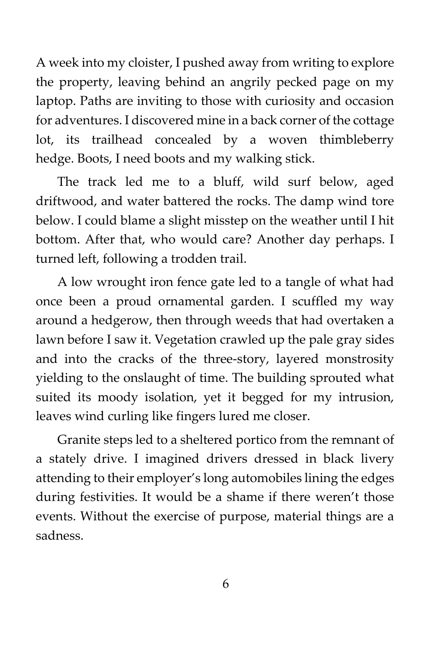A week into my cloister, I pushed away from writing to explore the property, leaving behind an angrily pecked page on my laptop. Paths are inviting to those with curiosity and occasion for adventures. I discovered mine in a back corner of the cottage lot, its trailhead concealed by a woven thimbleberry hedge. Boots, I need boots and my walking stick.

The track led me to a bluff, wild surf below, aged driftwood, and water battered the rocks. The damp wind tore below. I could blame a slight misstep on the weather until I hit bottom. After that, who would care? Another day perhaps. I turned left, following a trodden trail.

A low wrought iron fence gate led to a tangle of what had once been a proud ornamental garden. I scuffled my way around a hedgerow, then through weeds that had overtaken a lawn before I saw it. Vegetation crawled up the pale gray sides and into the cracks of the three-story, layered monstrosity yielding to the onslaught of time. The building sprouted what suited its moody isolation, yet it begged for my intrusion, leaves wind curling like fingers lured me closer.

Granite steps led to a sheltered portico from the remnant of a stately drive. I imagined drivers dressed in black livery attending to their employer's long automobiles lining the edges during festivities. It would be a shame if there weren't those events. Without the exercise of purpose, material things are a sadness.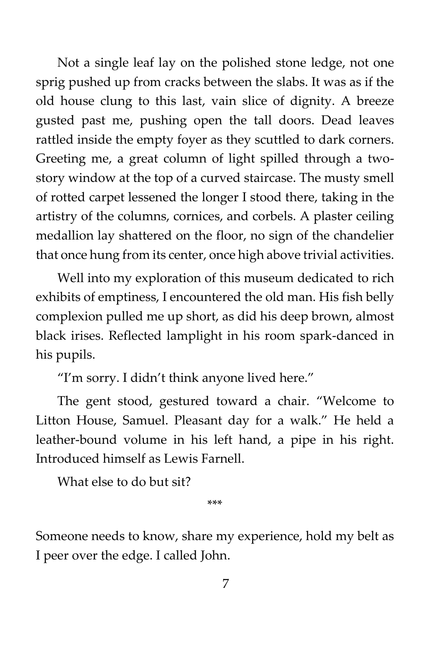Not a single leaf lay on the polished stone ledge, not one sprig pushed up from cracks between the slabs. It was as if the old house clung to this last, vain slice of dignity. A breeze gusted past me, pushing open the tall doors. Dead leaves rattled inside the empty foyer as they scuttled to dark corners. Greeting me, a great column of light spilled through a twostory window at the top of a curved staircase. The musty smell of rotted carpet lessened the longer I stood there, taking in the artistry of the columns, cornices, and corbels. A plaster ceiling medallion lay shattered on the floor, no sign of the chandelier that once hung from its center, once high above trivial activities.

Well into my exploration of this museum dedicated to rich exhibits of emptiness, I encountered the old man. His fish belly complexion pulled me up short, as did his deep brown, almost black irises. Reflected lamplight in his room spark-danced in his pupils.

"I'm sorry. I didn't think anyone lived here."

The gent stood, gestured toward a chair. "Welcome to Litton House, Samuel. Pleasant day for a walk." He held a leather-bound volume in his left hand, a pipe in his right. Introduced himself as Lewis Farnell.

What else to do but sit?

\*\*\*

Someone needs to know, share my experience, hold my belt as I peer over the edge. I called John.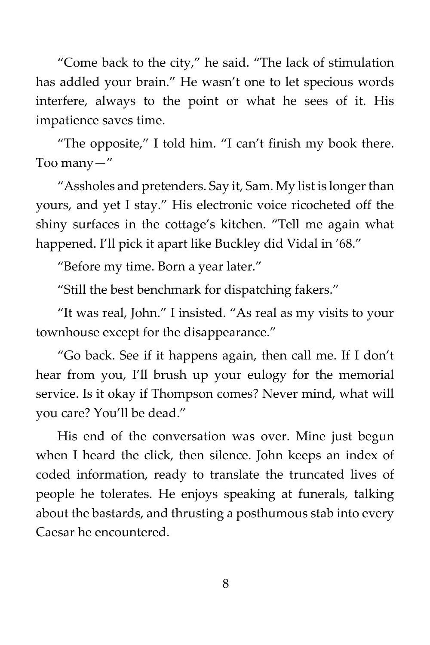"Come back to the city," he said. "The lack of stimulation has addled your brain." He wasn't one to let specious words interfere, always to the point or what he sees of it. His impatience saves time.

"The opposite," I told him. "I can't finish my book there. Too many—"

"Assholes and pretenders. Say it, Sam. My list is longer than yours, and yet I stay." His electronic voice ricocheted off the shiny surfaces in the cottage's kitchen. "Tell me again what happened. I'll pick it apart like Buckley did Vidal in '68."

"Before my time. Born a year later."

"Still the best benchmark for dispatching fakers."

"It was real, John." I insisted. "As real as my visits to your townhouse except for the disappearance."

"Go back. See if it happens again, then call me. If I don't hear from you, I'll brush up your eulogy for the memorial service. Is it okay if Thompson comes? Never mind, what will you care? You'll be dead."

His end of the conversation was over. Mine just begun when I heard the click, then silence. John keeps an index of coded information, ready to translate the truncated lives of people he tolerates. He enjoys speaking at funerals, talking about the bastards, and thrusting a posthumous stab into every Caesar he encountered.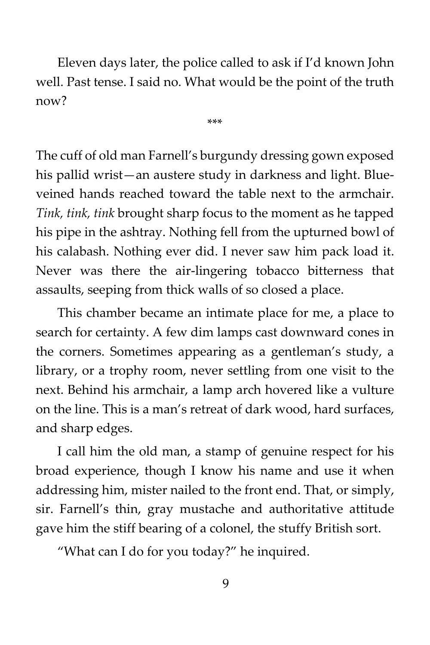Eleven days later, the police called to ask if I'd known John well. Past tense. I said no. What would be the point of the truth now?

\*\*\*

The cuff of old man Farnell's burgundy dressing gown exposed his pallid wrist—an austere study in darkness and light. Blueveined hands reached toward the table next to the armchair. *Tink, tink, tink* brought sharp focus to the moment as he tapped his pipe in the ashtray. Nothing fell from the upturned bowl of his calabash. Nothing ever did. I never saw him pack load it. Never was there the air-lingering tobacco bitterness that assaults, seeping from thick walls of so closed a place.

This chamber became an intimate place for me, a place to search for certainty. A few dim lamps cast downward cones in the corners. Sometimes appearing as a gentleman's study, a library, or a trophy room, never settling from one visit to the next. Behind his armchair, a lamp arch hovered like a vulture on the line. This is a man's retreat of dark wood, hard surfaces, and sharp edges.

I call him the old man, a stamp of genuine respect for his broad experience, though I know his name and use it when addressing him, mister nailed to the front end. That, or simply, sir. Farnell's thin, gray mustache and authoritative attitude gave him the stiff bearing of a colonel, the stuffy British sort.

"What can I do for you today?" he inquired.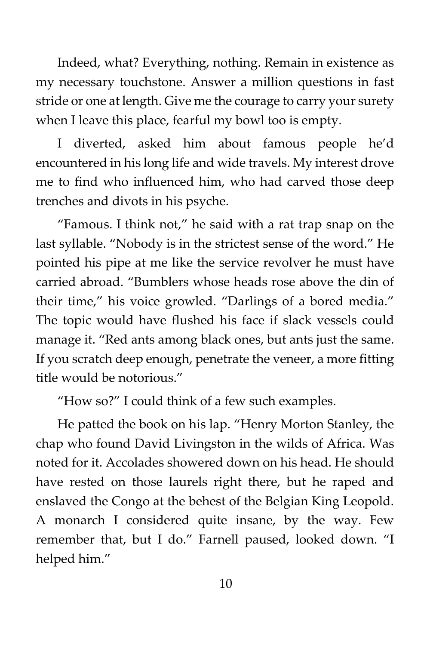Indeed, what? Everything, nothing. Remain in existence as my necessary touchstone. Answer a million questions in fast stride or one at length. Give me the courage to carry your surety when I leave this place, fearful my bowl too is empty.

I diverted, asked him about famous people he'd encountered in his long life and wide travels. My interest drove me to find who influenced him, who had carved those deep trenches and divots in his psyche.

"Famous. I think not," he said with a rat trap snap on the last syllable. "Nobody is in the strictest sense of the word." He pointed his pipe at me like the service revolver he must have carried abroad. "Bumblers whose heads rose above the din of their time," his voice growled. "Darlings of a bored media." The topic would have flushed his face if slack vessels could manage it. "Red ants among black ones, but ants just the same. If you scratch deep enough, penetrate the veneer, a more fitting title would be notorious."

"How so?" I could think of a few such examples.

He patted the book on his lap. "Henry Morton Stanley, the chap who found David Livingston in the wilds of Africa. Was noted for it. Accolades showered down on his head. He should have rested on those laurels right there, but he raped and enslaved the Congo at the behest of the Belgian King Leopold. A monarch I considered quite insane, by the way. Few remember that, but I do." Farnell paused, looked down. "I helped him."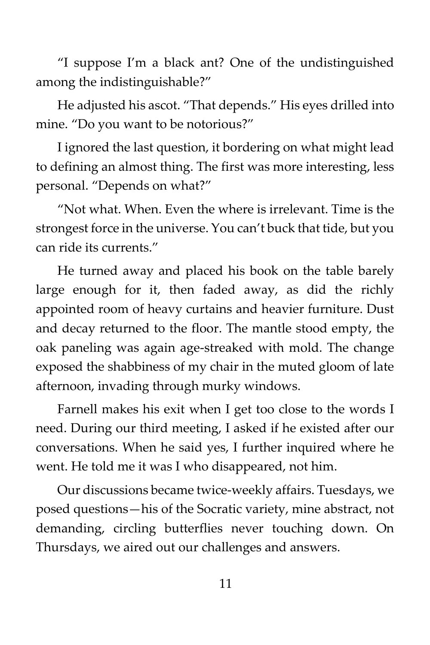"I suppose I'm a black ant? One of the undistinguished among the indistinguishable?"

He adjusted his ascot. "That depends." His eyes drilled into mine. "Do you want to be notorious?"

I ignored the last question, it bordering on what might lead to defining an almost thing. The first was more interesting, less personal. "Depends on what?"

"Not what. When. Even the where is irrelevant. Time is the strongest force in the universe. You can't buck that tide, but you can ride its currents."

He turned away and placed his book on the table barely large enough for it, then faded away, as did the richly appointed room of heavy curtains and heavier furniture. Dust and decay returned to the floor. The mantle stood empty, the oak paneling was again age-streaked with mold. The change exposed the shabbiness of my chair in the muted gloom of late afternoon, invading through murky windows.

Farnell makes his exit when I get too close to the words I need. During our third meeting, I asked if he existed after our conversations. When he said yes, I further inquired where he went. He told me it was I who disappeared, not him.

Our discussions became twice-weekly affairs. Tuesdays, we posed questions—his of the Socratic variety, mine abstract, not demanding, circling butterflies never touching down. On Thursdays, we aired out our challenges and answers.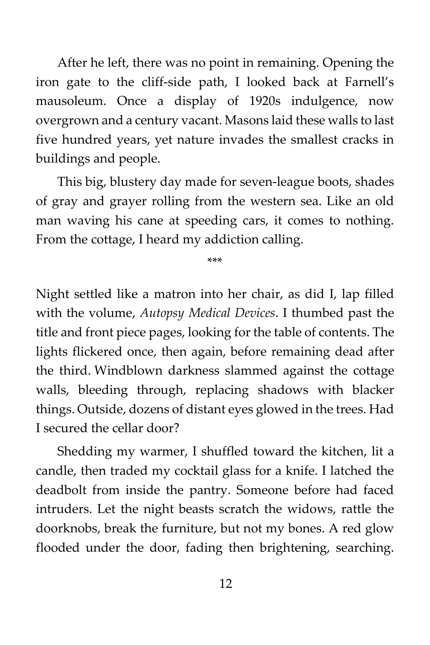After he left, there was no point in remaining. Opening the iron gate to the cliff-side path, I looked back at Farnell's mausoleum. Once a display of 1920s indulgence, now overgrown and a century vacant. Masons laid these walls to last five hundred years, yet nature invades the smallest cracks in buildings and people.

This big, blustery day made for seven-league boots, shades of gray and grayer rolling from the western sea. Like an old man waving his cane at speeding cars, it comes to nothing. From the cottage, I heard my addiction calling.

\*\*\*

Night settled like a matron into her chair, as did I, lap filled with the volume, *Autopsy Medical Devices*. I thumbed past the title and front piece pages, looking for the table of contents. The lights flickered once, then again, before remaining dead after the third. Windblown darkness slammed against the cottage walls, bleeding through, replacing shadows with blacker things. Outside, dozens of distant eyes glowed in the trees. Had I secured the cellar door?

Shedding my warmer, I shuffled toward the kitchen, lit a candle, then traded my cocktail glass for a knife. I latched the deadbolt from inside the pantry. Someone before had faced intruders. Let the night beasts scratch the widows, rattle the doorknobs, break the furniture, but not my bones. A red glow flooded under the door, fading then brightening, searching.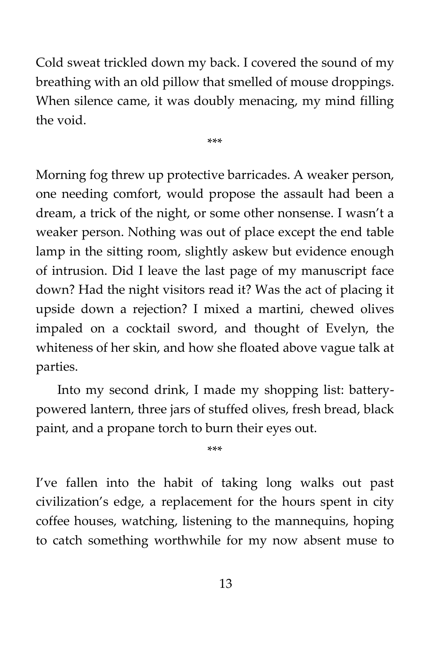Cold sweat trickled down my back. I covered the sound of my breathing with an old pillow that smelled of mouse droppings. When silence came, it was doubly menacing, my mind filling the void.

\*\*\*

Morning fog threw up protective barricades. A weaker person, one needing comfort, would propose the assault had been a dream, a trick of the night, or some other nonsense. I wasn't a weaker person. Nothing was out of place except the end table lamp in the sitting room, slightly askew but evidence enough of intrusion. Did I leave the last page of my manuscript face down? Had the night visitors read it? Was the act of placing it upside down a rejection? I mixed a martini, chewed olives impaled on a cocktail sword, and thought of Evelyn, the whiteness of her skin, and how she floated above vague talk at parties.

Into my second drink, I made my shopping list: batterypowered lantern, three jars of stuffed olives, fresh bread, black paint, and a propane torch to burn their eyes out.

\*\*\*

I've fallen into the habit of taking long walks out past civilization's edge, a replacement for the hours spent in city coffee houses, watching, listening to the mannequins, hoping to catch something worthwhile for my now absent muse to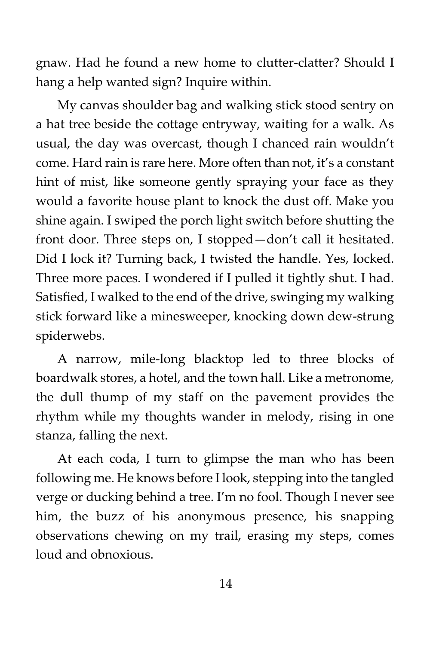gnaw. Had he found a new home to clutter-clatter? Should I hang a help wanted sign? Inquire within.

My canvas shoulder bag and walking stick stood sentry on a hat tree beside the cottage entryway, waiting for a walk. As usual, the day was overcast, though I chanced rain wouldn't come. Hard rain is rare here. More often than not, it's a constant hint of mist, like someone gently spraying your face as they would a favorite house plant to knock the dust off. Make you shine again. I swiped the porch light switch before shutting the front door. Three steps on, I stopped—don't call it hesitated. Did I lock it? Turning back, I twisted the handle. Yes, locked. Three more paces. I wondered if I pulled it tightly shut. I had. Satisfied, I walked to the end of the drive, swinging my walking stick forward like a minesweeper, knocking down dew-strung spiderwebs.

A narrow, mile-long blacktop led to three blocks of boardwalk stores, a hotel, and the town hall. Like a metronome, the dull thump of my staff on the pavement provides the rhythm while my thoughts wander in melody, rising in one stanza, falling the next.

At each coda, I turn to glimpse the man who has been following me. He knows before I look, stepping into the tangled verge or ducking behind a tree. I'm no fool. Though I never see him, the buzz of his anonymous presence, his snapping observations chewing on my trail, erasing my steps, comes loud and obnoxious.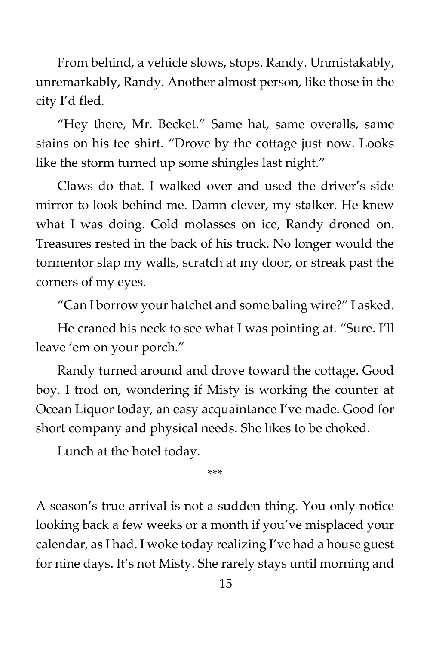From behind, a vehicle slows, stops. Randy. Unmistakably, unremarkably, Randy. Another almost person, like those in the city I'd fled.

"Hey there, Mr. Becket." Same hat, same overalls, same stains on his tee shirt. "Drove by the cottage just now. Looks like the storm turned up some shingles last night."

Claws do that. I walked over and used the driver's side mirror to look behind me. Damn clever, my stalker. He knew what I was doing. Cold molasses on ice, Randy droned on. Treasures rested in the back of his truck. No longer would the tormentor slap my walls, scratch at my door, or streak past the corners of my eyes.

"Can I borrow your hatchet and some baling wire?" I asked.

He craned his neck to see what I was pointing at. "Sure. I'll leave 'em on your porch."

Randy turned around and drove toward the cottage. Good boy. I trod on, wondering if Misty is working the counter at Ocean Liquor today, an easy acquaintance I've made. Good for short company and physical needs. She likes to be choked.

Lunch at the hotel today.

\*\*\*

A season's true arrival is not a sudden thing. You only notice looking back a few weeks or a month if you've misplaced your calendar, as I had. I woke today realizing I've had a house guest for nine days. It's not Misty. She rarely stays until morning and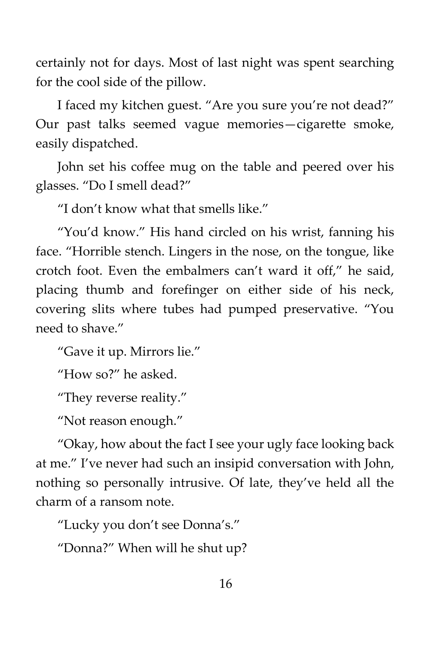certainly not for days. Most of last night was spent searching for the cool side of the pillow.

I faced my kitchen guest. "Are you sure you're not dead?" Our past talks seemed vague memories—cigarette smoke, easily dispatched.

John set his coffee mug on the table and peered over his glasses. "Do I smell dead?"

"I don't know what that smells like."

"You'd know." His hand circled on his wrist, fanning his face. "Horrible stench. Lingers in the nose, on the tongue, like crotch foot. Even the embalmers can't ward it off," he said, placing thumb and forefinger on either side of his neck, covering slits where tubes had pumped preservative. "You need to shave."

"Gave it up. Mirrors lie."

"How so?" he asked.

"They reverse reality."

"Not reason enough."

"Okay, how about the fact I see your ugly face looking back at me." I've never had such an insipid conversation with John, nothing so personally intrusive. Of late, they've held all the charm of a ransom note.

"Lucky you don't see Donna's."

"Donna?" When will he shut up?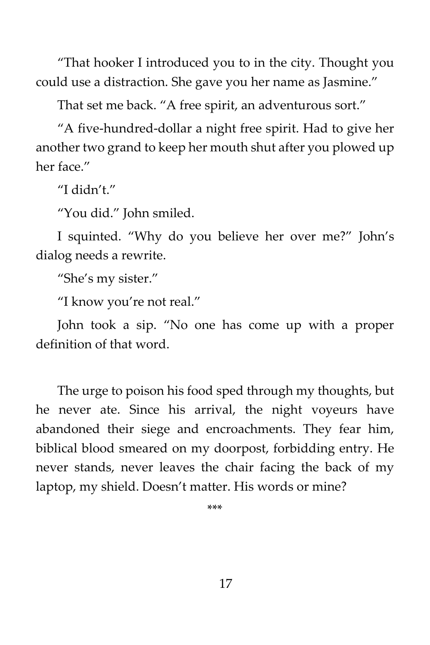"That hooker I introduced you to in the city. Thought you could use a distraction. She gave you her name as Jasmine."

That set me back. "A free spirit, an adventurous sort."

"A five-hundred-dollar a night free spirit. Had to give her another two grand to keep her mouth shut after you plowed up her face."

"I didn't."

"You did." John smiled.

I squinted. "Why do you believe her over me?" John's dialog needs a rewrite.

"She's my sister."

"I know you're not real."

John took a sip. "No one has come up with a proper definition of that word.

The urge to poison his food sped through my thoughts, but he never ate. Since his arrival, the night voyeurs have abandoned their siege and encroachments. They fear him, biblical blood smeared on my doorpost, forbidding entry. He never stands, never leaves the chair facing the back of my laptop, my shield. Doesn't matter. His words or mine?

\*\*\*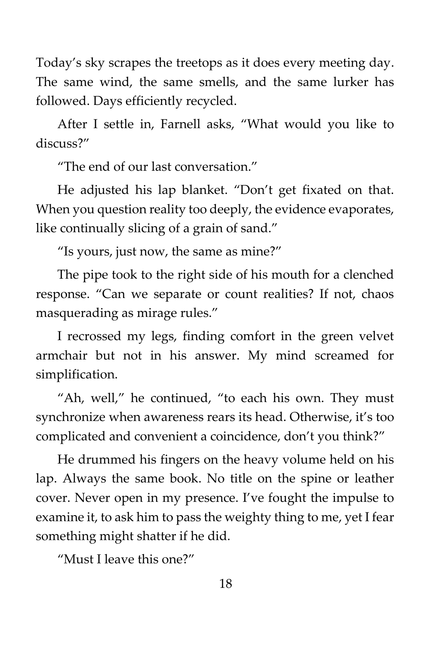Today's sky scrapes the treetops as it does every meeting day. The same wind, the same smells, and the same lurker has followed. Days efficiently recycled.

After I settle in, Farnell asks, "What would you like to discuss?"

"The end of our last conversation."

He adjusted his lap blanket. "Don't get fixated on that. When you question reality too deeply, the evidence evaporates, like continually slicing of a grain of sand."

"Is yours, just now, the same as mine?"

The pipe took to the right side of his mouth for a clenched response. "Can we separate or count realities? If not, chaos masquerading as mirage rules."

I recrossed my legs, finding comfort in the green velvet armchair but not in his answer. My mind screamed for simplification.

"Ah, well," he continued, "to each his own. They must synchronize when awareness rears its head. Otherwise, it's too complicated and convenient a coincidence, don't you think?"

He drummed his fingers on the heavy volume held on his lap. Always the same book. No title on the spine or leather cover. Never open in my presence. I've fought the impulse to examine it, to ask him to pass the weighty thing to me, yet I fear something might shatter if he did.

"Must I leave this one?"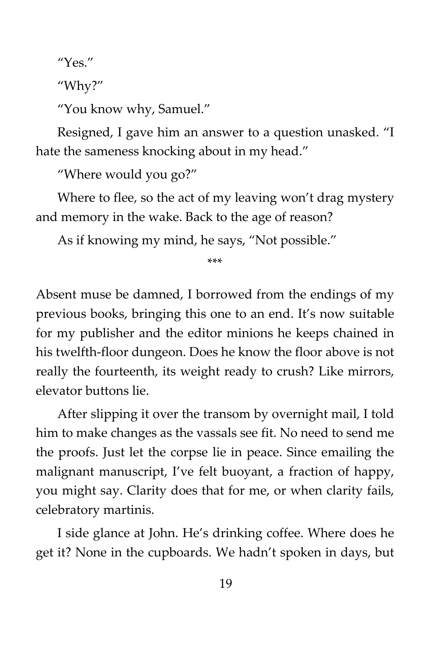"Yes."

"Why?"

"You know why, Samuel."

Resigned, I gave him an answer to a question unasked. "I hate the sameness knocking about in my head."

"Where would you go?"

Where to flee, so the act of my leaving won't drag mystery and memory in the wake. Back to the age of reason?

As if knowing my mind, he says, "Not possible."

\*\*\*

Absent muse be damned, I borrowed from the endings of my previous books, bringing this one to an end. It's now suitable for my publisher and the editor minions he keeps chained in his twelfth-floor dungeon. Does he know the floor above is not really the fourteenth, its weight ready to crush? Like mirrors, elevator buttons lie.

After slipping it over the transom by overnight mail, I told him to make changes as the vassals see fit. No need to send me the proofs. Just let the corpse lie in peace. Since emailing the malignant manuscript, I've felt buoyant, a fraction of happy, you might say. Clarity does that for me, or when clarity fails, celebratory martinis.

I side glance at John. He's drinking coffee. Where does he get it? None in the cupboards. We hadn't spoken in days, but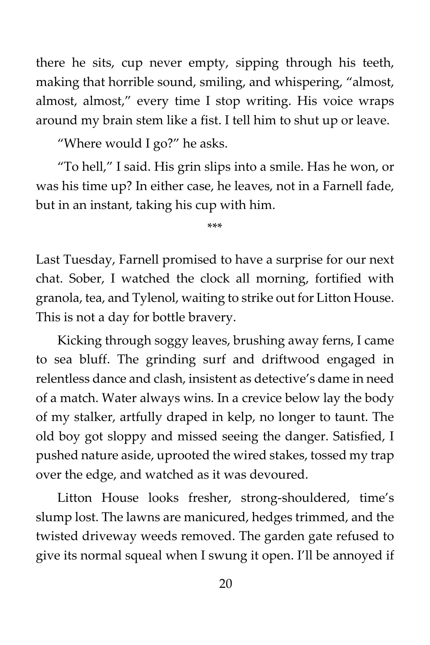there he sits, cup never empty, sipping through his teeth, making that horrible sound, smiling, and whispering, "almost, almost, almost," every time I stop writing. His voice wraps around my brain stem like a fist. I tell him to shut up or leave.

"Where would I go?" he asks.

"To hell," I said. His grin slips into a smile. Has he won, or was his time up? In either case, he leaves, not in a Farnell fade, but in an instant, taking his cup with him.

\*\*\*

Last Tuesday, Farnell promised to have a surprise for our next chat. Sober, I watched the clock all morning, fortified with granola, tea, and Tylenol, waiting to strike out for Litton House. This is not a day for bottle bravery.

Kicking through soggy leaves, brushing away ferns, I came to sea bluff. The grinding surf and driftwood engaged in relentless dance and clash, insistent as detective's dame in need of a match. Water always wins. In a crevice below lay the body of my stalker, artfully draped in kelp, no longer to taunt. The old boy got sloppy and missed seeing the danger. Satisfied, I pushed nature aside, uprooted the wired stakes, tossed my trap over the edge, and watched as it was devoured.

Litton House looks fresher, strong-shouldered, time's slump lost. The lawns are manicured, hedges trimmed, and the twisted driveway weeds removed. The garden gate refused to give its normal squeal when I swung it open. I'll be annoyed if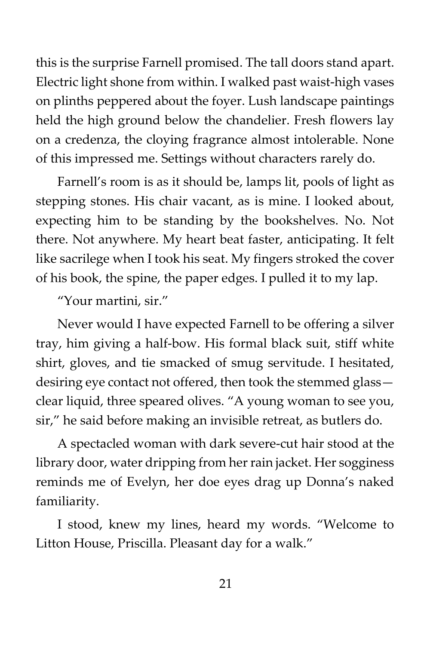this is the surprise Farnell promised. The tall doors stand apart. Electric light shone from within. I walked past waist-high vases on plinths peppered about the foyer. Lush landscape paintings held the high ground below the chandelier. Fresh flowers lay on a credenza, the cloying fragrance almost intolerable. None of this impressed me. Settings without characters rarely do.

Farnell's room is as it should be, lamps lit, pools of light as stepping stones. His chair vacant, as is mine. I looked about, expecting him to be standing by the bookshelves. No. Not there. Not anywhere. My heart beat faster, anticipating. It felt like sacrilege when I took his seat. My fingers stroked the cover of his book, the spine, the paper edges. I pulled it to my lap.

"Your martini, sir."

Never would I have expected Farnell to be offering a silver tray, him giving a half-bow. His formal black suit, stiff white shirt, gloves, and tie smacked of smug servitude. I hesitated, desiring eye contact not offered, then took the stemmed glass clear liquid, three speared olives. "A young woman to see you, sir," he said before making an invisible retreat, as butlers do.

A spectacled woman with dark severe-cut hair stood at the library door, water dripping from her rain jacket. Her sogginess reminds me of Evelyn, her doe eyes drag up Donna's naked familiarity.

I stood, knew my lines, heard my words. "Welcome to Litton House, Priscilla. Pleasant day for a walk."